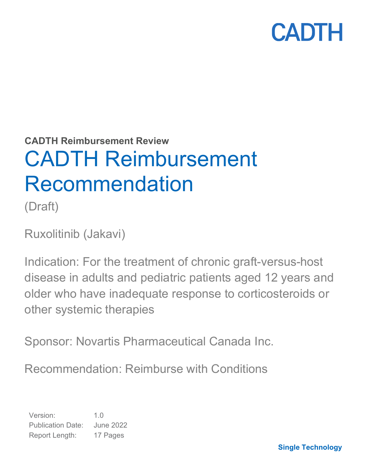**CADTH Reimbursement Review**

# CADTH Reimbursement Recommendation

(Draft)

Ruxolitinib (Jakavi)

Indication: For the treatment of chronic graft-versus-host disease in adults and pediatric patients aged 12 years and older who have inadequate response to corticosteroids or other systemic therapies

Sponsor: Novartis Pharmaceutical Canada Inc.

Recommendation: Reimburse with Conditions

Version: 1.0 Publication Date: June 2022 Report Length: 17 Pages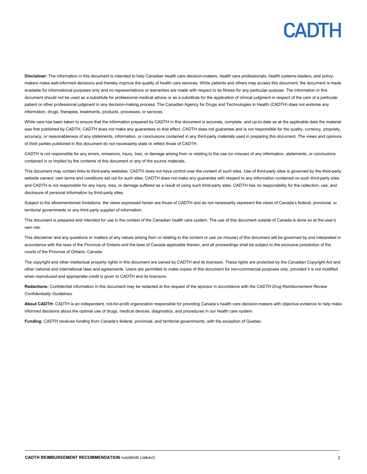**Disclaimer:** The information in this document is intended to help Canadian health care decision-makers, health care professionals, health systems leaders, and policymakers make well-informed decisions and thereby improve the quality of health care services. While patients and others may access this document, the document is made available for informational purposes only and no representations or warranties are made with respect to its fitness for any particular purpose. The information in this document should not be used as a substitute for professional medical advice or as a substitute for the application of clinical judgment in respect of the care of a particular patient or other professional judgment in any decision-making process. The Canadian Agency for Drugs and Technologies in Health (CADTH) does not endorse any information, drugs, therapies, treatments, products, processes, or services.

While care has been taken to ensure that the information prepared by CADTH in this document is accurate, complete, and up-to-date as at the applicable date the material was first published by CADTH, CADTH does not make any guarantees to that effect. CADTH does not guarantee and is not responsible for the quality, currency, propriety, accuracy, or reasonableness of any statements, information, or conclusions contained in any third-party materials used in preparing this document. The views and opinions of third parties published in this document do not necessarily state or reflect those of CADTH.

CADTH is not responsible for any errors, omissions, injury, loss, or damage arising from or relating to the use (or misuse) of any information, statements, or conclusions contained in or implied by the contents of this document or any of the source materials.

This document may contain links to third-party websites. CADTH does not have control over the content of such sites. Use of third-party sites is governed by the third-party website owners' own terms and conditions set out for such sites. CADTH does not make any guarantee with respect to any information contained on such third-party sites and CADTH is not responsible for any injury, loss, or damage suffered as a result of using such third-party sites. CADTH has no responsibility for the collection, use, and disclosure of personal information by third-party sites.

Subject to the aforementioned limitations, the views expressed herein are those of CADTH and do not necessarily represent the views of Canada's federal, provincial, or territorial governments or any third party supplier of information.

This document is prepared and intended for use in the context of the Canadian health care system. The use of this document outside of Canada is done so at the user's own risk.

This disclaimer and any questions or matters of any nature arising from or relating to the content or use (or misuse) of this document will be governed by and interpreted in accordance with the laws of the Province of Ontario and the laws of Canada applicable therein, and all proceedings shall be subject to the exclusive jurisdiction of the courts of the Province of Ontario, Canada.

The copyright and other intellectual property rights in this document are owned by CADTH and its licensors. These rights are protected by the Canadian *Copyright Act* and other national and international laws and agreements. Users are permitted to make copies of this document for non-commercial purposes only, provided it is not modified when reproduced and appropriate credit is given to CADTH and its licensors.

**Redactions:** Confidential information in this document may be redacted at the request of the sponsor in accordance with the *CADTH Drug Reimbursement Review Confidentiality Guidelines.*

**About CADTH:** CADTH is an independent, not-for-profit organization responsible for providing Canada's health care decision-makers with objective evidence to help make informed decisions about the optimal use of drugs, medical devices, diagnostics, and procedures in our health care system.

**Funding:** CADTH receives funding from Canada's federal, provincial, and territorial governments, with the exception of Quebec.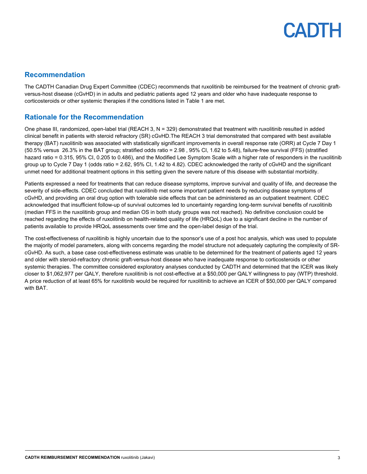### **Recommendation**

The CADTH Canadian Drug Expert Committee (CDEC) recommends that ruxolitinib be reimbursed for the treatment of chronic graftversus-host disease (cGvHD) in in adults and pediatric patients aged 12 years and older who have inadequate response to corticosteroids or other systemic therapies if the conditions listed in [Table 1](#page-3-0) are met.

### **Rationale for the Recommendation**

One phase III, randomized, open-label trial (REACH 3,  $N = 329$ ) demonstrated that treatment with ruxolitinib resulted in added clinical benefit in patients with steroid refractory (SR) cGvHD.The REACH 3 trial demonstrated that compared with best available therapy (BAT) ruxolitinib was associated with statistically significant improvements in overall response rate (ORR) at Cycle 7 Day 1 (50.5% versus 26.3% in the BAT group; stratified odds ratio = 2.98 , 95% CI, 1.62 to 5.48), failure-free survival (FFS) (stratified hazard ratio = 0.315, 95% CI, 0.205 to 0.486), and the Modified Lee Symptom Scale with a higher rate of responders in the ruxolitinib group up to Cycle 7 Day 1 (odds ratio = 2.62, 95% CI, 1.42 to 4.82). CDEC acknowledged the rarity of cGvHD and the significant unmet need for additional treatment options in this setting given the severe nature of this disease with substantial morbidity.

Patients expressed a need for treatments that can reduce disease symptoms, improve survival and quality of life, and decrease the severity of side-effects. CDEC concluded that ruxolitinib met some important patient needs by reducing disease symptoms of cGvHD, and providing an oral drug option with tolerable side effects that can be administered as an outpatient treatment. CDEC acknowledged that insufficient follow-up of survival outcomes led to uncertainty regarding long-term survival benefits of ruxolitinib (median FFS in the ruxolitinib group and median OS in both study groups was not reached). No definitive conclusion could be reached regarding the effects of ruxolitinib on health-related quality of life (HRQoL) due to a significant decline in the number of patients available to provide HRQoL assessments over time and the open-label design of the trial.

The cost-effectiveness of ruxolitinib is highly uncertain due to the sponsor's use of a post hoc analysis, which was used to populate the majority of model parameters, along with concerns regarding the model structure not adequately capturing the complexity of SRcGvHD. As such, a base case cost-effectiveness estimate was unable to be determined for the treatment of patients aged 12 years and older with steroid-refractory chronic graft-versus-host disease who have inadequate response to corticosteroids or other systemic therapies. The committee considered exploratory analyses conducted by CADTH and determined that the ICER was likely closer to \$1,062,977 per QALY, therefore ruxolitinib is not cost-effective at a \$50,000 per QALY willingness to pay (WTP) threshold. A price reduction of at least 65% for ruxolitinib would be required for ruxolitinib to achieve an ICER of \$50,000 per QALY compared with BAT.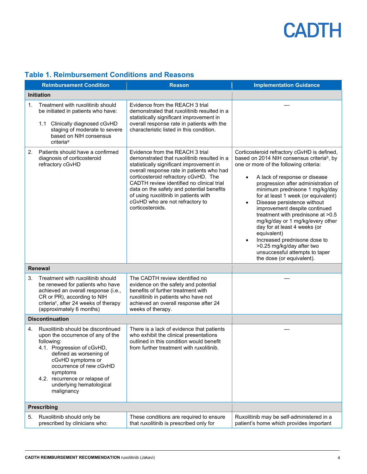|    | <b>Reimbursement Condition</b>                                                                                                                                                                                                                                                        | <b>Reason</b>                                                                                                                                                                                                                                                                                                                                                                                             | <b>Implementation Guidance</b>                                                                                                                                                                                                                                                                                                                                                                                                                                                                                                                                                                                                                              |
|----|---------------------------------------------------------------------------------------------------------------------------------------------------------------------------------------------------------------------------------------------------------------------------------------|-----------------------------------------------------------------------------------------------------------------------------------------------------------------------------------------------------------------------------------------------------------------------------------------------------------------------------------------------------------------------------------------------------------|-------------------------------------------------------------------------------------------------------------------------------------------------------------------------------------------------------------------------------------------------------------------------------------------------------------------------------------------------------------------------------------------------------------------------------------------------------------------------------------------------------------------------------------------------------------------------------------------------------------------------------------------------------------|
|    | <b>Initiation</b>                                                                                                                                                                                                                                                                     |                                                                                                                                                                                                                                                                                                                                                                                                           |                                                                                                                                                                                                                                                                                                                                                                                                                                                                                                                                                                                                                                                             |
| 1. | Treatment with ruxolitinib should<br>be initiated in patients who have:<br>1.1 Clinically diagnosed cGvHD<br>staging of moderate to severe<br>based on NIH consensus<br>criteria <sup>a</sup>                                                                                         | Evidence from the REACH 3 trial<br>demonstrated that ruxolitinib resulted in a<br>statistically significant improvement in<br>overall response rate in patients with the<br>characteristic listed in this condition.                                                                                                                                                                                      |                                                                                                                                                                                                                                                                                                                                                                                                                                                                                                                                                                                                                                                             |
| 2. | Patients should have a confirmed<br>diagnosis of corticosteroid<br>refractory cGvHD                                                                                                                                                                                                   | Evidence from the REACH 3 trial<br>demonstrated that ruxolitinib resulted in a<br>statistically significant improvement in<br>overall response rate in patients who had<br>corticosteroid refractory cGvHD. The<br>CADTH review identified no clinical trial<br>data on the safety and potential benefits<br>of using ruxolitinib in patients with<br>cGvHD who are not refractory to<br>corticosteroids. | Corticosteroid refractory cGvHD is defined,<br>based on 2014 NIH consensus criteria <sup>b</sup> , by<br>one or more of the following criteria:<br>A lack of response or disease<br>$\bullet$<br>progression after administration of<br>minimum prednisone 1 mg/kg/day<br>for at least 1 week (or equivalent)<br>Disease persistence without<br>$\bullet$<br>improvement despite continued<br>treatment with prednisone at >0.5<br>mg/kg/day or 1 mg/kg/every other<br>day for at least 4 weeks (or<br>equivalent)<br>Increased prednisone dose to<br>$\bullet$<br>>0.25 mg/kg/day after two<br>unsuccessful attempts to taper<br>the dose (or equivalent). |
|    | Renewal                                                                                                                                                                                                                                                                               |                                                                                                                                                                                                                                                                                                                                                                                                           |                                                                                                                                                                                                                                                                                                                                                                                                                                                                                                                                                                                                                                                             |
| 3. | Treatment with ruxolitinib should<br>be renewed for patients who have<br>achieved an overall response (i.e.,<br>CR or PR), according to NIH<br>criteria <sup>c</sup> , after 24 weeks of therapy<br>(approximately 6 months)                                                          | The CADTH review identified no<br>evidence on the safety and potential<br>benefits of further treatment with<br>ruxolitinib in patients who have not<br>achieved an overall response after 24<br>weeks of therapy.                                                                                                                                                                                        |                                                                                                                                                                                                                                                                                                                                                                                                                                                                                                                                                                                                                                                             |
|    | <b>Discontinuation</b>                                                                                                                                                                                                                                                                |                                                                                                                                                                                                                                                                                                                                                                                                           |                                                                                                                                                                                                                                                                                                                                                                                                                                                                                                                                                                                                                                                             |
| 4. | Ruxolitinib should be discontinued<br>upon the occurrence of any of the<br>following:<br>4.1. Progression of cGvHD,<br>defined as worsening of<br>cGvHD symptoms or<br>occurrence of new cGvHD<br>symptoms<br>4.2. recurrence or relapse of<br>underlying hematological<br>malignancy | There is a lack of evidence that patients<br>who exhibit the clinical presentations<br>outlined in this condition would benefit<br>from further treatment with ruxolitinib.                                                                                                                                                                                                                               |                                                                                                                                                                                                                                                                                                                                                                                                                                                                                                                                                                                                                                                             |
|    | <b>Prescribing</b>                                                                                                                                                                                                                                                                    |                                                                                                                                                                                                                                                                                                                                                                                                           |                                                                                                                                                                                                                                                                                                                                                                                                                                                                                                                                                                                                                                                             |
| 5. | Ruxolitinib should only be<br>prescribed by clinicians who:                                                                                                                                                                                                                           | These conditions are required to ensure<br>that ruxolitinib is prescribed only for                                                                                                                                                                                                                                                                                                                        | Ruxolitinib may be self-administered in a<br>patient's home which provides important                                                                                                                                                                                                                                                                                                                                                                                                                                                                                                                                                                        |

### <span id="page-3-0"></span>**Table 1. Reimbursement Conditions and Reasons**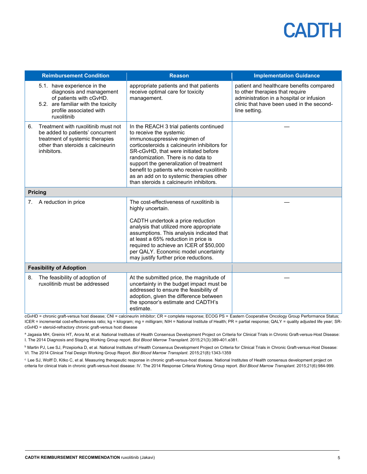|                                | <b>Reimbursement Condition</b>                                                                                                                                      | <b>Reason</b>                                                                                                                                                                                                                                                                                                                                                                                                     | <b>Implementation Guidance</b>                                                                                                                                                        |
|--------------------------------|---------------------------------------------------------------------------------------------------------------------------------------------------------------------|-------------------------------------------------------------------------------------------------------------------------------------------------------------------------------------------------------------------------------------------------------------------------------------------------------------------------------------------------------------------------------------------------------------------|---------------------------------------------------------------------------------------------------------------------------------------------------------------------------------------|
|                                | 5.1. have experience in the<br>diagnosis and management<br>of patients with cGvHD.<br>5.2. are familiar with the toxicity<br>profile associated with<br>ruxolitinib | appropriate patients and that patients<br>receive optimal care for toxicity<br>management.                                                                                                                                                                                                                                                                                                                        | patient and healthcare benefits compared<br>to other therapies that require<br>administration in a hospital or infusion<br>clinic that have been used in the second-<br>line setting. |
| 6.                             | Treatment with ruxolitinib must not<br>be added to patients' concurrent<br>treatment of systemic therapies<br>other than steroids ± calcineurin<br>inhibitors.      | In the REACH 3 trial patients continued<br>to receive the systemic<br>immunosuppressive regimen of<br>corticosteroids ± calcineurin inhibitors for<br>SR-cGvHD, that were initiated before<br>randomization. There is no data to<br>support the generalization of treatment<br>benefit to patients who receive ruxolitinib<br>as an add on to systemic therapies other<br>than steroids ± calcineurin inhibitors. |                                                                                                                                                                                       |
| <b>Pricing</b>                 |                                                                                                                                                                     |                                                                                                                                                                                                                                                                                                                                                                                                                   |                                                                                                                                                                                       |
| 7.                             | A reduction in price                                                                                                                                                | The cost-effectiveness of ruxolitinib is<br>highly uncertain.<br>CADTH undertook a price reduction<br>analysis that utilized more appropriate<br>assumptions. This analysis indicated that<br>at least a 65% reduction in price is<br>required to achieve an ICER of \$50,000<br>per QALY. Economic model uncertainty<br>may justify further price reductions.                                                    |                                                                                                                                                                                       |
| <b>Feasibility of Adoption</b> |                                                                                                                                                                     |                                                                                                                                                                                                                                                                                                                                                                                                                   |                                                                                                                                                                                       |
| 8.                             | The feasibility of adoption of<br>ruxolitinib must be addressed                                                                                                     | At the submitted price, the magnitude of<br>uncertainty in the budget impact must be<br>addressed to ensure the feasibility of<br>adoption, given the difference between<br>the sponsor's estimate and CADTH's<br>estimate.                                                                                                                                                                                       |                                                                                                                                                                                       |

cGvHD = chronic graft-versus host disease; CNI = calcineurin inhibitor; CR = complete response; ECOG PS = Eastern Cooperative Oncology Group Performance Status; ICER = incremental cost-effectiveness ratio; kg = kilogram; mg = milligram; NIH = National Institute of Health; PR = partial response; QALY = quality adjusted life year; SRcGvHD = steroid-refractory chronic graft-versus host disease

a Jagasia MH, Greinix HT, Arora M, et al. National Institutes of Health Consensus Development Project on Criteria for Clinical Trials in Chronic Graft-versus-Host Disease: I. The 2014 Diagnosis and Staging Working Group report. *Biol Blood Marrow Transplant*. 2015;21(3):389-401.e381.

**b Martin PJ, Lee SJ, Przepiorka D, et al. National Institutes of Health Consensus Development Project on Criteria for Clinical Trials in Chronic Graft-versus-Host Disease:** VI. The 2014 Clinical Trial Design Working Group Report. *Biol Blood Marrow Transplant*. 2015;21(8):1343-1359

<sup>c</sup> Lee SJ, Wolff D, Kitko C, et al. Measuring therapeutic response in chronic graft-versus-host disease. National Institutes of Health consensus development project on criteria for clinical trials in chronic graft-versus-host disease: IV. The 2014 Response Criteria Working Group report. *Biol Blood Marrow Transplant*. 2015;21(6):984-999.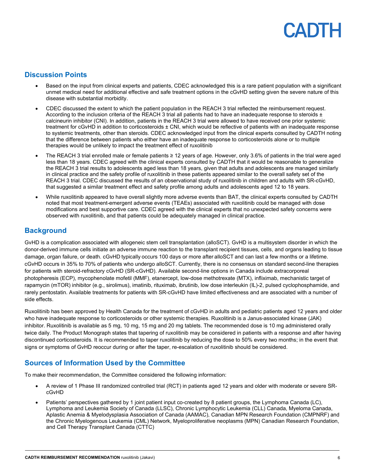### **Discussion Points**

- Based on the input from clinical experts and patients, CDEC acknowledged this is a rare patient population with a significant unmet medical need for additional effective and safe treatment options in the cGvHD setting given the severe nature of this disease with substantial morbidity.
- CDEC discussed the extent to which the patient population in the REACH 3 trial reflected the reimbursement request. According to the inclusion criteria of the REACH 3 trial all patients had to have an inadequate response to steroids ± calcineurin inhibitor (CNI). In addition, patients in the REACH 3 trial were allowed to have received one prior systemic treatment for cGvHD in addition to corticosteroids ± CNI, which would be reflective of patients with an inadequate response to systemic treatments, other than steroids. CDEC acknowledged input from the clinical experts consulted by CADTH noting that the difference between patients who either have an inadequate response to corticosteroids alone or to multiple therapies would be unlikely to impact the treatment effect of ruxolitinib
- The REACH 3 trial enrolled male or female patients ≥ 12 years of age. However, only 3.6% of patients in the trial were aged less than 18 years. CDEC agreed with the clinical experts consulted by CADTH that it would be reasonable to generalize the REACH 3 trial results to adolescents aged less than 18 years, given that adults and adolescents are managed similarly in clinical practice and the safety profile of ruxolitinib in these patients appeared similar to the overall safety set of the REACH 3 trial. CDEC discussed the results of an observational study of ruxolitinib in children and adults with SR-cGvHD, that suggested a similar treatment effect and safety profile among adults and adolescents aged 12 to 18 years.
- While ruxolitinib appeared to have overall slightly more adverse events than BAT, the clinical experts consulted by CADTH noted that most treatment-emergent adverse events (TEAEs) associated with ruxolitinib could be managed with dose modifications and best supportive care. CDEC agreed with the clinical experts that no unexpected safety concerns were observed with ruxolitinib, and that patients could be adequately managed in clinical practice.

### **Background**

GvHD is a complication associated with allogeneic stem cell transplantation (alloSCT). GvHD is a multisystem disorder in which the donor-derived immune cells initiate an adverse immune reaction to the transplant recipient tissues, cells, and organs leading to tissue damage, organ failure, or death. cGvHD typically occurs 100 days or more after alloSCT and can last a few months or a lifetime. cGvHD occurs in 35% to 70% of patients who undergo alloSCT. Currently, there is no consensus on standard second-line therapies for patients with steroid-refractory cGvHD (SR-cGvHD). Available second-line options in Canada include extracorporeal photopheresis (ECP), mycophenolate mofetil (MMF), etanercept, low-dose methotrexate (MTX), infliximab, mechanistic target of rapamycin (mTOR) inhibitor (e.g., sirolimus), imatinib, rituximab, ibrutinib, low dose interleukin (IL)-2, pulsed cyclophosphamide, and rarely pentostatin. Available treatments for patients with SR-cGvHD have limited effectiveness and are associated with a number of side effects.

Ruxolitinib has been approved by Health Canada for the treatment of cGvHD in adults and pediatric patients aged 12 years and older who have inadequate response to corticosteroids or other systemic therapies. Ruxolitinib is a Janus-associated kinase (JAK) inhibitor. Ruxolitinib is available as 5 mg, 10 mg, 15 mg and 20 mg tablets. The recommended dose is 10 mg administered orally twice daily. The Product Monograph states that tapering of ruxolitinib may be considered in patients with a response and after having discontinued corticosteroids. It is recommended to taper ruxolitinib by reducing the dose to 50% every two months; in the event that signs or symptoms of GvHD reoccur during or after the taper, re-escalation of ruxolitinib should be considered.

### **Sources of Information Used by the Committee**

To make their recommendation, the Committee considered the following information:

- A review of 1 Phase III randomized controlled trial (RCT) in patients aged 12 years and older with moderate or severe SRcGvHD
- Patients' perspectives gathered by 1 joint patient input co-created by 8 patient groups, the Lymphoma Canada (LC), Lymphoma and Leukemia Society of Canada (LLSC), Chronic Lymphocytic Leukemia (CLL) Canada, Myeloma Canada, Aplastic Anemia & Myelodysplasia Association of Canada (AAMAC), Canadian MPN Research Foundation (CMPNRF) and the Chronic Myelogenous Leukemia (CML) Network, Myeloproliferative neoplasms (MPN) Canadian Research Foundation, and Cell Therapy Transplant Canada (CTTC)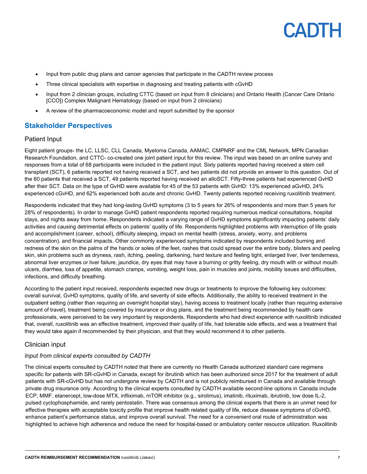- Input from public drug plans and cancer agencies that participate in the CADTH review process
- Three clinical specialists with expertise in diagnosing and treating patients with cGvHD
- Input from 2 clinician groups, including CTTC (based on input from 8 clinicians) and Ontario Health (Cancer Care Ontario [CCO]) Complex Malignant Hematology (based on input from 2 clinicians)
- A review of the pharmacoeconomic model and report submitted by the sponsor

### **Stakeholder Perspectives**

#### Patient Input

Eight patient groups- the LC, LLSC, CLL Canada, Myeloma Canada, AAMAC, CMPNRF and the CML Network, MPN Canadian Research Foundation, and CTTC- co-created one joint patient input for this review. The input was based on an online survey and responses from a total of 68 participants were included in the patient input. Sixty patients reported having received a stem cell transplant (SCT), 6 patients reported not having received a SCT, and two patients did not provide an answer to this question. Out of the 60 patients that received a SCT, 49 patients reported having received an alloSCT. Fifty-three patients had experienced GvHD after their SCT. Data on the type of GvHD were available for 45 of the 53 patients with GvHD: 13% experienced aGvHD, 24% experienced cGvHD, and 62% experienced both acute and chronic GvHD. Twenty patients reported receiving ruxolitinib treatment.

Respondents indicated that they had long-lasting GvHD symptoms (3 to 5 years for 26% of respondents and more than 5 years for 28% of respondents). In order to manage GvHD patient respondents reported requiring numerous medical consultations, hospital stays, and nights away from home. Respondents indicated a varying range of GvHD symptoms significantly impacting patients' daily activities and causing detrimental effects on patients' quality of life. Respondents highlighted problems with interruption of life goals and accomplishment (career, school), difficulty sleeping, impact on mental health (stress, anxiety, worry, and problems concentration), and financial impacts. Other commonly experienced symptoms indicated by respondents included burning and redness of the skin on the palms of the hands or soles of the feet, rashes that could spread over the entire body, blisters and peeling skin, skin problems such as dryness, rash, itching, peeling, darkening, hard texture and feeling tight, enlarged liver, liver tenderness, abnormal liver enzymes or liver failure, jaundice, dry eyes that may have a burning or gritty feeling, dry mouth with or without mouth ulcers, diarrhea, loss of appetite, stomach cramps, vomiting, weight loss, pain in muscles and joints, mobility issues and difficulties, infections, and difficulty breathing.

According to the patient input received, respondents expected new drugs or treatments to improve the following key outcomes: overall survival, GvHD symptoms, quality of life, and severity of side effects. Additionally, the ability to received treatment in the outpatient setting (rather than requiring an overnight hospital stay), having access to treatment locally (rather than requiring extensive amount of travel), treatment being covered by insurance or drug plans, and the treatment being recommended by health care professionals, were perceived to be very important by respondents. Respondents who had direct experience with ruxolitinib indicated that, overall, ruxolitinib was an effective treatment, improved their quality of life, had tolerable side effects, and was a treatment that they would take again if recommended by their physician, and that they would recommend it to other patients.

#### Clinician input

#### *Input from clinical experts consulted by CADTH*

The clinical experts consulted by CADTH noted that there are currently no Health Canada authorized standard care regimens specific for patients with SR-cGvHD in Canada, except for ibrutinib which has been authorized since 2017 for the treatment of adult patients with SR-cGvHD but has not undergone review by CADTH and is not publicly reimbursed in Canada and available through private drug insurance only. According to the clinical experts consulted by CADTH available second-line options in Canada include ECP, MMF, etanercept, low-dose MTX, infliximab, mTOR inhibitor (e.g., sirolimus), imatinib, rituximab, ibrutinib, low dose IL-2, pulsed cyclophosphamide, and rarely pentostatin. There was consensus among the clinical experts that there is an unmet need for effective therapies with acceptable toxicity profile that improve health related quality of life, reduce disease symptoms of cGvHD, enhance patient's performance status, and improve overall survival. The need for a convenient oral route of administration was highlighted to achieve high adherence and reduce the need for hospital-based or ambulatory center resource utilization. Ruxolitinib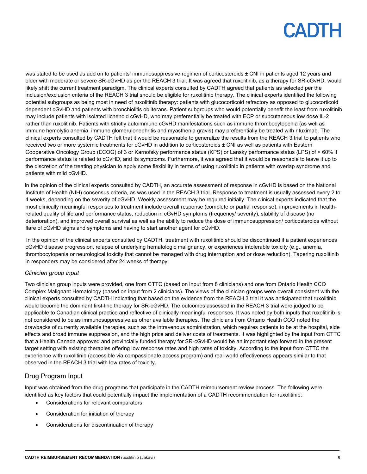was stated to be used as add on to patients' immunosuppressive regimen of corticosteroids ± CNI in patients aged 12 years and older with moderate or severe SR-cGvHD as per the REACH 3 trial. It was agreed that ruxolitinib, as a therapy for SR-cGvHD, would likely shift the current treatment paradigm. The clinical experts consulted by CADTH agreed that patients as selected per the inclusion/exclusion criteria of the REACH 3 trial should be eligible for ruxolitinib therapy. The clinical experts identified the following potential subgroups as being most in need of ruxolitinib therapy: patients with glucocorticoid refractory as opposed to glucocorticoid dependent cGvHD and patients with bronchiolitis obliterans. Patient subgroups who would potentially benefit the least from ruxolitinib may include patients with isolated lichenoid cGvHD, who may preferentially be treated with ECP or subcutaneous low dose IL-2 rather than ruxolitinib. Patients with strictly autoimmune cGvHD manifestations such as immune thrombocytopenia (as well as immune hemolytic anemia, immune glomerulonephritis and myasthenia gravis) may preferentially be treated with rituximab. The clinical experts consulted by CADTH felt that it would be reasonable to generalize the results from the REACH 3 trial to patients who received two or more systemic treatments for cGvHD in addition to corticosteroids ± CNI as well as patients with Eastern Cooperative Oncology Group (ECOG) of 3 or Karnofsky performance status (KPS) or Lansky performance status (LPS) of < 60% if performance status is related to cGvHD, and its symptoms. Furthermore, it was agreed that it would be reasonable to leave it up to the discretion of the treating physician to apply some flexibility in terms of using ruxolitinib in patients with overlap syndrome and patients with mild cGvHD.

In the opinion of the clinical experts consulted by CADTH, an accurate assessment of response in cGvHD is based on the National Institute of Health (NIH) consensus criteria, as was used in the REACH 3 trial. Response to treatment is usually assessed every 2 to 4 weeks, depending on the severity of cGvHD. Weekly assessment may be required initially. The clinical experts indicated that the most clinically meaningful responses to treatment include overall response (complete or partial response), improvements in healthrelated quality of life and performance status, reduction in cGvHD symptoms (frequency/ severity), stability of disease (no deterioration), and improved overall survival as well as the ability to reduce the dose of immunosuppression/ corticosteroids without flare of cGvHD signs and symptoms and having to start another agent for cGvHD.

In the opinion of the clinical experts consulted by CADTH, treatment with ruxolitinib should be discontinued if a patient experiences cGvHD disease progression, relapse of underlying hematologic malignancy, or experiences intolerable toxicity (e.g., anemia, thrombocytopenia or neurological toxicity that cannot be managed with drug interruption and or dose reduction). Tapering ruxolitinib in responders may be considered after 24 weeks of therapy.

#### *Clinician group input*

Two clinician group inputs were provided, one from CTTC (based on input from 8 clinicians) and one from Ontario Health CCO Complex Malignant Hematology (based on input from 2 clinicians). The views of the clinician groups were overall consistent with the clinical experts consulted by CADTH indicating that based on the evidence from the REACH 3 trial it was anticipated that ruxolitinib would become the dominant first-line therapy for SR-cGvHD. The outcomes assessed in the REACH 3 trial were judged to be applicable to Canadian clinical practice and reflective of clinically meaningful responses. It was noted by both inputs that ruxolitinib is not considered to be as immunosuppressive as other available therapies. The clinicians from Ontario Health CCO noted the drawbacks of currently available therapies, such as the intravenous administration, which requires patients to be at the hospital, side effects and broad immune suppression, and the high price and deliver costs of treatments. It was highlighted by the input from CTTC that a Health Canada approved and provincially funded therapy for SR-cGvHD would be an important step forward in the present target setting with existing therapies offering low response rates and high rates of toxicity. According to the input from CTTC the experience with ruxolitinib (accessible via compassionate access program) and real-world effectiveness appears similar to that observed in the REACH 3 trial with low rates of toxicity.

### Drug Program Input

Input was obtained from the drug programs that participate in the CADTH reimbursement review process. The following were identified as key factors that could potentially impact the implementation of a CADTH recommendation for ruxolitinib:

- Considerations for relevant comparators
- Consideration for initiation of therapy
- Considerations for discontinuation of therapy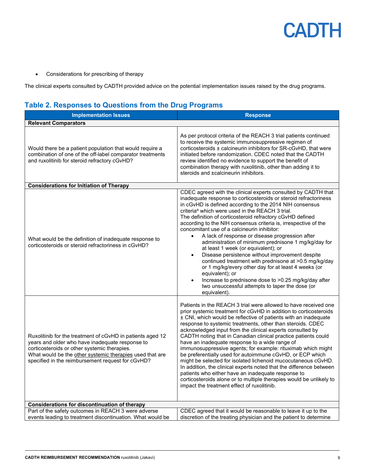• Considerations for prescribing of therapy

The clinical experts consulted by CADTH provided advice on the potential implementation issues raised by the drug programs.

### **Table 2. Responses to Questions from the Drug Programs**

| <b>Implementation Issues</b>                                                                                                                                                                                                                                                   | <b>Response</b>                                                                                                                                                                                                                                                                                                                                                                                                                                                                                                                                                                                                                                                                                                                                                                                                                                                                                                            |  |
|--------------------------------------------------------------------------------------------------------------------------------------------------------------------------------------------------------------------------------------------------------------------------------|----------------------------------------------------------------------------------------------------------------------------------------------------------------------------------------------------------------------------------------------------------------------------------------------------------------------------------------------------------------------------------------------------------------------------------------------------------------------------------------------------------------------------------------------------------------------------------------------------------------------------------------------------------------------------------------------------------------------------------------------------------------------------------------------------------------------------------------------------------------------------------------------------------------------------|--|
| <b>Relevant Comparators</b>                                                                                                                                                                                                                                                    |                                                                                                                                                                                                                                                                                                                                                                                                                                                                                                                                                                                                                                                                                                                                                                                                                                                                                                                            |  |
| Would there be a patient population that would require a<br>combination of one of the off-label comparator treatments<br>and ruxolitinib for steroid refractory cGvHD?                                                                                                         | As per protocol criteria of the REACH 3 trial patients continued<br>to receive the systemic immunosuppressive regimen of<br>corticosteroids ± calcineurin inhibitors for SR-cGvHD, that were<br>initiated before randomization. CDEC noted that the CADTH<br>review identified no evidence to support the benefit of<br>combination therapy with ruxolitinib, other than adding it to<br>steroids and ±calcineurin inhibitors.                                                                                                                                                                                                                                                                                                                                                                                                                                                                                             |  |
| <b>Considerations for Initiation of Therapy</b>                                                                                                                                                                                                                                |                                                                                                                                                                                                                                                                                                                                                                                                                                                                                                                                                                                                                                                                                                                                                                                                                                                                                                                            |  |
| What would be the definition of inadequate response to<br>corticosteroids or steroid refractoriness in cGvHD?                                                                                                                                                                  | CDEC agreed with the clinical experts consulted by CADTH that<br>inadequate response to corticosteroids or steroid refractoriness<br>in cGvHD is defined according to the 2014 NIH consensus<br>criteria <sup>a</sup> which were used in the REACH 3 trial.<br>The definition of corticosteroid refractory cGvHD defined<br>according to the NIH consensus criteria is, irrespective of the<br>concomitant use of a calcineurin inhibitor:<br>A lack of response or disease progression after<br>administration of minimum prednisone 1 mg/kg/day for<br>at least 1 week (or equivalent); or<br>Disease persistence without improvement despite<br>$\bullet$<br>continued treatment with prednisone at >0.5 mg/kg/day<br>or 1 mg/kg/every other day for at least 4 weeks (or<br>equivalent); or<br>Increase to prednisone dose to >0.25 mg/kg/day after<br>two unsuccessful attempts to taper the dose (or<br>equivalent). |  |
| Ruxolitinib for the treatment of cGvHD in patients aged 12<br>years and older who have inadequate response to<br>corticosteroids or other systemic therapies.<br>What would be the other systemic therapies used that are<br>specified in the reimbursement request for cGvHD? | Patients in the REACH 3 trial were allowed to have received one<br>prior systemic treatment for cGvHD in addition to corticosteroids<br>± CNI, which would be reflective of patients with an inadequate<br>response to systemic treatments, other than steroids. CDEC<br>acknowledged input from the clinical experts consulted by<br>CADTH noting that in Canadian clinical practice patients could<br>have an inadequate response to a wide range of<br>immunosuppressive agents; for example: rituximab which might<br>be preferentially used for autoimmune cGvHD, or ECP which<br>might be selected for isolated lichenoid mucocutaneous cGvHD.<br>In addition, the clinical experts noted that the difference between<br>patients who either have an inadequate response to<br>corticosteroids alone or to multiple therapies would be unlikely to<br>impact the treatment effect of ruxolitinib.                    |  |
| <b>Considerations for discontinuation of therapy</b>                                                                                                                                                                                                                           |                                                                                                                                                                                                                                                                                                                                                                                                                                                                                                                                                                                                                                                                                                                                                                                                                                                                                                                            |  |
| Part of the safety outcomes in REACH 3 were adverse<br>events leading to treatment discontinuation. What would be                                                                                                                                                              | CDEC agreed that it would be reasonable to leave it up to the<br>discretion of the treating physician and the patient to determine                                                                                                                                                                                                                                                                                                                                                                                                                                                                                                                                                                                                                                                                                                                                                                                         |  |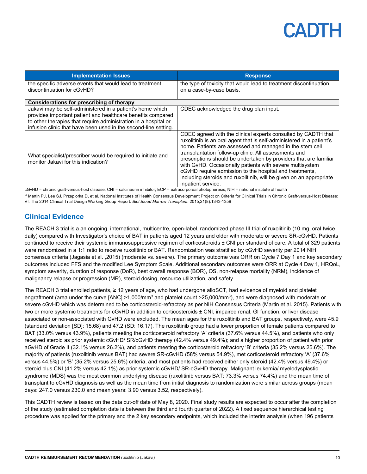| <b>Implementation Issues</b>                                                                                                                                                                                                                                   | <b>Response</b>                                                                                                                                                                                                                                                                                                                                                                                                                                                                                                                                                                                                                                                                                                                                                                        |
|----------------------------------------------------------------------------------------------------------------------------------------------------------------------------------------------------------------------------------------------------------------|----------------------------------------------------------------------------------------------------------------------------------------------------------------------------------------------------------------------------------------------------------------------------------------------------------------------------------------------------------------------------------------------------------------------------------------------------------------------------------------------------------------------------------------------------------------------------------------------------------------------------------------------------------------------------------------------------------------------------------------------------------------------------------------|
| the specific adverse events that would lead to treatment<br>discontinuation for cGvHD?                                                                                                                                                                         | the type of toxicity that would lead to treatment discontinuation<br>on a case-by-case basis.                                                                                                                                                                                                                                                                                                                                                                                                                                                                                                                                                                                                                                                                                          |
| Considerations for prescribing of therapy                                                                                                                                                                                                                      |                                                                                                                                                                                                                                                                                                                                                                                                                                                                                                                                                                                                                                                                                                                                                                                        |
| Jakavi may be self-administered in a patient's home which<br>provides important patient and healthcare benefits compared<br>to other therapies that require administration in a hospital or<br>infusion clinic that have been used in the second-line setting. | CDEC acknowledged the drug plan input.                                                                                                                                                                                                                                                                                                                                                                                                                                                                                                                                                                                                                                                                                                                                                 |
| What specialist/prescriber would be required to initiate and<br>monitor Jakavi for this indication?<br>$\alpha$ is a set of $\alpha$ in the $\alpha$ is the set of $\alpha$                                                                                    | CDEC agreed with the clinical experts consulted by CADTH that<br>ruxolitinib is an oral agent that is self-administered in a patient's<br>home. Patients are assessed and managed in the stem cell<br>transplantation follow-up clinic. All assessments and<br>prescriptions should be undertaken by providers that are familiar<br>with GvHD. Occasionally patients with severe multisystem<br>cGvHD require admission to the hospital and treatments,<br>including steroids and ruxolitinib, will be given on an appropriate<br>inpatient service.<br>the contract of the contract of the contract of the contract of the contract of the contract of the contract of the contract of the contract of the contract of the contract of the contract of the contract of the contract o |

cGvHD = chronic graft-versus-host disease; CNI = calcineurin inhibitor; ECP = [extracorporeal photopheresis; NIH = national institute of health](https://www.google.com/url?sa=t&rct=j&q=&esrc=s&source=web&cd=&cad=rja&uact=8&ved=2ahUKEwi3o6qBm9D2AhXLkokEHeolAYsQFnoECAYQAQ&url=https%3A%2F%2Fwww.ncbi.nlm.nih.gov%2Fpmc%2Farticles%2FPMC3766348%2F&usg=AOvVaw22La2PA7dAb2gJOJDZCGO2)

a Martin PJ, Lee SJ, Przepiorka D, et al. National Institutes of Health Consensus Development Project on Criteria for Clinical Trials in Chronic Graft-versus-Host Disease: VI. The 2014 Clinical Trial Design Working Group Report. *Biol Blood Marrow Transplant*. 2015;21(8):1343-1359

### **Clinical Evidence**

The REACH 3 trial is a an ongoing, international, multicentre, open-label, randomized phase III trial of ruxolitinib (10 mg, oral twice daily) compared with Investigator's choice of BAT in patients aged 12 years and older with moderate or severe SR-cGvHD. Patients continued to receive their systemic immunosuppressive regimen of corticosteroids ± CNI per standard of care. A total of 329 patients were randomized in a 1:1 ratio to receive ruxolitinib or BAT. Randomization was stratified by cGvHD severity per 2014 NIH consensus criteria (Jagasia et al. ,2015) (moderate vs. severe). The primary outcome was ORR on Cycle 7 Day 1 and key secondary outcomes included FFS and the modified Lee Symptom Scale. Additional secondary outcomes were ORR at Cycle 4 Day 1, HRQoL, symptom severity, duration of response (DoR), best overall response (BOR), OS, non-relapse mortality (NRM), incidence of malignancy relapse or progression (MR), steroid dosing, resource utilization, and safety.

The REACH 3 trial enrolled patients, ≥ 12 years of age, who had undergone alloSCT, had evidence of myeloid and platelet engraftment (area under the curve  $[ANC] > 1,000/mm<sup>3</sup>$  and platelet count  $>25,000/mm<sup>3</sup>$ ), and were diagnosed with moderate or severe cGvHD which was determined to be corticosteroid-refractory as per NIH Consensus Criteria (Martin et al. 2015). Patients with two or more systemic treatments for cGvHD in addition to corticosteroids ± CNI, impaired renal, GI function, or liver disease associated or non-associated with GvHD were excluded. The mean ages for the ruxolitinib and BAT groups, respectively, were 45.9 (standard deviation [SD]: 15.68) and 47.2 (SD: 16.17). The ruxolitinib group had a lower proportion of female patients compared to BAT (33.0% versus 43.9%), patients meeting the corticosteroid refractory 'A' criteria (37.6% versus 44.5%), and patients who only received steroid as prior systemic cGvHD/ SR/cGvHD therapy (42.4% versus 49.4%); and a higher proportion of patient with prior aGvHD of Grade II (32.1% versus 26.2%), and patients meeting the corticosteroid refractory 'B' criteria (35.2% versus 25.6%). The majority of patients (ruxolitinib versus BAT) had severe SR-cGvHD (58% versus 54.9%), met corticosteroid refractory 'A' (37.6% versus 44.5%) or 'B' (35.2% versus 25.6%) criteria, and most patients had received either only steroid (42.4% versus 49.4%) or steroid plus CNI (41.2% versus 42.1%) as prior systemic cGvHD/ SR-cGvHD therapy. Malignant leukemia/ myelodysplastic syndrome (MDS) was the most common underlying disease (ruxolitinib versus BAT: 73.3% versus 74.4%) and the mean time of transplant to cGvHD diagnosis as well as the mean time from initial diagnosis to randomization were similar across groups (mean days: 247.0 versus 230.0 and mean years: 3.90 versus 3.52, respectively).

This CADTH review is based on the data cut-off date of May 8, 2020. Final study results are expected to occur after the completion of the study (estimated completion date is between the third and fourth quarter of 2022). A fixed sequence hierarchical testing procedure was applied for the primary and the 2 key secondary endpoints, which included the interim analysis (when 196 patients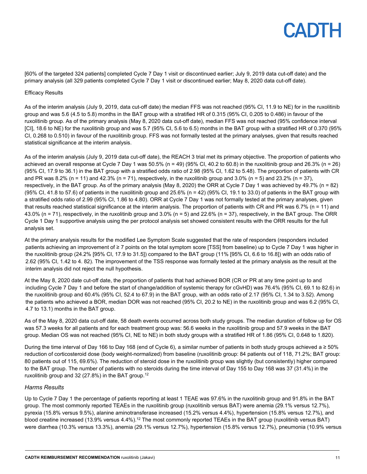[60% of the targeted 324 patients] completed Cycle 7 Day 1 visit or discontinued earlier; July 9, 2019 data cut-off date) and the primary analysis (all 329 patients completed Cycle 7 Day 1 visit or discontinued earlier; May 8, 2020 data cut-off date).

#### Efficacy Results

As of the interim analysis (July 9, 2019, data cut-off date) the median FFS was not reached (95% CI, 11.9 to NE) for in the ruxolitinib group and was 5.6 (4.5 to 5.8) months in the BAT group with a stratified HR of 0.315 (95% CI, 0.205 to 0.486) in favour of the ruxolitinib group. As of the primary analysis (May 8, 2020 data cut-off date), median FFS was not reached (95% confidence interval [CI], 18.6 to NE) for the ruxolitinib group and was 5.7 (95% CI, 5.6 to 6.5) months in the BAT group with a stratified HR of 0.370 (95% CI, 0.268 to 0.510) in favour of the ruxolitinib group. FFS was not formally tested at the primary analyses, given that results reached statistical significance at the interim analysis.

As of the interim analysis (July 9, 2019 data cut-off date), the REACH 3 trial met its primary objective. The proportion of patients who achieved an overall response at Cycle 7 Day 1 was  $50.5\%$  (n = 49) (95% CI, 40.2 to 60.8) in the ruxolitinib group and 26.3% (n = 26) (95% CI, 17.9 to 36.1) in the BAT group with a stratified odds ratio of 2.98 (95% CI, 1.62 to 5.48). The proportion of patients with CR and PR was 8.2% (n = 11) and 42.3% (n = 71), respectively, in the ruxolitinib group and 3.0% (n = 5) and 23.2% (n = 37), respectively, in the BAT group. As of the primary analysis (May 8, 2020) the ORR at Cycle 7 Day 1 was achieved by 49.7% (n = 82)  $(95\%$  CI, 41.8 to 57.6) of patients in the ruxolitinib group and 25.6% (n = 42)  $(95\%$  CI, 19.1 to 33.0) of patients in the BAT group with a stratified odds ratio of 2.99 (95% CI, 1.86 to 4.80). ORR at Cycle 7 Day 1 was not formally tested at the primary analyses, given that results reached statistical significance at the interim analysis. The proportion of patients with CR and PR was 6.7% (n = 11) and 43.0% (n = 71), respectively, in the ruxolitinib group and 3.0% (n = 5) and 22.6% (n = 37), respectively, in the BAT group. The ORR Cycle 1 Day 1 supportive analysis using the per protocol analysis set showed consistent results with the ORR results for the full analysis set.

At the primary analysis results for the modified Lee Symptom Scale suggested that the rate of responders (responders included patients achieving an improvement of ≥ 7 points on the total symptom score [TSS] from baseline) up to Cycle 7 Day 1 was higher in the ruxolitinib group (24.2% [95% CI, 17.9 to 31.5]) compared to the BAT group (11% [95% CI, 6.6 to 16.8]) with an odds ratio of 2.62 (95% CI, 1.42 to 4. 82). The improvement of the TSS response was formally tested at the primary analysis as the result at the interim analysis did not reject the null hypothesis.

At the May 8, 2020 date cut-off date, the proportion of patients that had achieved BOR (CR or PR at any time point up to and including Cycle 7 Day 1 and before the start of change/addition of systemic therapy for cGvHD) was 76.4% (95% CI, 69.1 to 82.6) in the ruxolitinib group and 60.4% (95% CI, 52.4 to 67.9) in the BAT group, with an odds ratio of 2.17 (95% CI, 1.34 to 3.52). Among the patients who achieved a BOR, median DOR was not reached (95% CI, 20.2 to NE) in the ruxolitinib group and was 6.2 (95% CI, 4.7 to 13.1) months in the BAT group.

As of the May 8, 2020 data cut-off date, 58 death events occurred across both study groups. The median duration of follow up for OS was 57.3 weeks for all patients and for each treatment group was: 56.6 weeks in the ruxolitinib group and 57.9 weeks in the BAT group. Median OS was not reached (95% CI, NE to NE) in both study groups with a stratified HR of 1.86 (95% CI, 0.648 to 1.820).

During the time interval of Day 166 to Day 168 (end of Cycle 6), a similar number of patients in both study groups achieved a ≥ 50% reduction of corticosteroid dose (body weight-normalized) from baseline (ruxolitinib group: 84 patients out of 118, 71.2%; BAT group: 80 patients out of 115, 69.6%). The reduction of steroid dose in the ruxolitinib group was slightly (but consistently) higher compared to the BAT group. The number of patients with no steroids during the time interval of Day 155 to Day 168 was 37 (31.4%) in the ruxolitinib group and 32 (27.8%) in the BAT group.12

#### *Harms Results*

Up to Cycle 7 Day 1 the percentage of patients reporting at least 1 TEAE was 97.6% in the ruxolitinib group and 91.8% in the BAT group. The most commonly reported TEAEs in the ruxolitinib group (ruxolitinib versus BAT) were anemia (29.1% versus 12.7%), pyrexia (15.8% versus 9.5%), alanine aminotransferase increased (15.2% versus 4.4%), hypertension (15.8% versus 12.7%), and blood creatine increased (13.9% versus 4.4%).<sup>12</sup> The most commonly reported TEAEs in the BAT group (ruxolitinib versus BAT) were diarrhea (10.3% versus 13.3%), anemia (29.1% versus 12.7%), hypertension (15.8% versus 12.7%), pneumonia (10.9% versus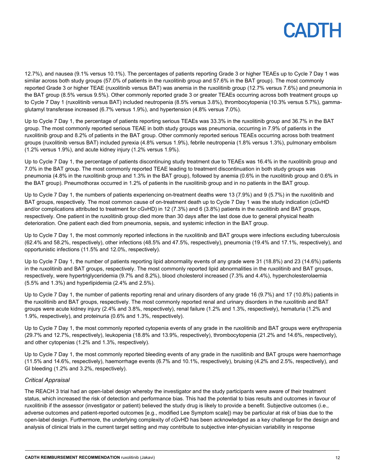12.7%), and nausea (9.1% versus 10.1%). The percentages of patients reporting Grade 3 or higher TEAEs up to Cycle 7 Day 1 was similar across both study groups (57.0% of patients in the ruxolitinib group and 57.6% in the BAT group). The most commonly reported Grade 3 or higher TEAE (ruxolitinib versus BAT) was anemia in the ruxolitinib group (12.7% versus 7.6%) and pneumonia in the BAT group (8.5% versus 9.5%). Other commonly reported grade 3 or greater TEAEs occurring across both treatment groups up to Cycle 7 Day 1 (ruxolitinib versus BAT) included neutropenia (8.5% versus 3.8%), thrombocytopenia (10.3% versus 5.7%), gammaglutamyl transferase increased (6.7% versus 1.9%), and hypertension (4.8% versus 7.0%).

Up to Cycle 7 Day 1, the percentage of patients reporting serious TEAEs was 33.3% in the ruxolitinib group and 36.7% in the BAT group. The most commonly reported serious TEAE in both study groups was pneumonia, occurring in 7.9% of patients in the ruxolitinib group and 8.2% of patients in the BAT group. Other commonly reported serious TEAEs occurring across both treatment groups (ruxolitinib versus BAT) included pyrexia (4.8% versus 1.9%), febrile neutropenia (1.8% versus 1.3%), pulmonary embolism (1.2% versus 1.9%), and acute kidney injury (1.2% versus 1.9%).

Up to Cycle 7 Day 1, the percentage of patients discontinuing study treatment due to TEAEs was 16.4% in the ruxolitinib group and 7.0% in the BAT group. The most commonly reported TEAE leading to treatment discontinuation in both study groups was pneumonia (4.8% in the ruxolitinib group and 1.3% in the BAT group), followed by anemia (0.6% in the ruxolitinib group and 0.6% in the BAT group). Pneumothorax occurred in 1.2% of patients in the ruxolitinib group and in no patients in the BAT group.

Up to Cycle 7 Day 1, the numbers of patients experiencing on-treatment deaths were 13 (7.9%) and 9 (5.7%) in the ruxolitinib and BAT groups, respectively. The most common cause of on-treatment death up to Cycle 7 Day 1 was the study indication (cGvHD and/or complications attributed to treatment for cGvHD) in 12 (7.3%) and 6 (3.8%) patients in the ruxolitinib and BAT groups, respectively. One patient in the ruxolitinib group died more than 30 days after the last dose due to general physical health deterioration. One patient each died from pneumonia, sepsis, and systemic infection in the BAT group.

Up to Cycle 7 Day 1, the most commonly reported infections in the ruxolitinib and BAT groups were infections excluding tuberculosis (62.4% and 58.2%, respectively), other infections (48.5% and 47.5%, respectively), pneumonia (19.4% and 17.1%, respectively), and opportunistic infections (11.5% and 12.0%, respectively).

Up to Cycle 7 Day 1, the number of patients reporting lipid abnormality events of any grade were 31 (18.8%) and 23 (14.6%) patients in the ruxolitinib and BAT groups, respectively. The most commonly reported lipid abnormalities in the ruxolitinib and BAT groups, respectively, were hypertriglyceridemia (9.7% and 8.2%), blood cholesterol increased (7.3% and 4.4%), hypercholesterolaemia (5.5% and 1.3%) and hyperlipidemia (2.4% and 2.5%).

Up to Cycle 7 Day 1, the number of patients reporting renal and urinary disorders of any grade 16 (9.7%) and 17 (10.8%) patients in the ruxolitinib and BAT groups, respectively. The most commonly reported renal and urinary disorders in the ruxolitinib and BAT groups were acute kidney injury (2.4% and 3.8%, respectively), renal failure (1.2% and 1.3%, respectively), hematuria (1.2% and 1.9%, respectively), and proteinuria (0.6% and 1.3%, respectively).

Up to Cycle 7 Day 1, the most commonly reported cytopenia events of any grade in the ruxolitinib and BAT groups were erythropenia (29.7% and 12.7%, respectively), leukopenia (18.8% and 13.9%, respectively), thrombocytopenia (21.2% and 14.6%, respectively), and other cytopenias (1.2% and 1.3%, respectively).

Up to Cycle 7 Day 1, the most commonly reported bleeding events of any grade in the ruxolitinib and BAT groups were haemorrhage (11.5% and 14.6%, respectively), haemorrhage events (6.7% and 10.1%, respectively), bruising (4.2% and 2.5%, respectively), and GI bleeding (1.2% and 3.2%, respectively).

#### *Critical Appraisal*

The REACH 3 trial had an open-label design whereby the investigator and the study participants were aware of their treatment status, which increased the risk of detection and performance bias. This had the potential to bias results and outcomes in favour of ruxolitinib if the assessor (investigator or patient) believed the study drug is likely to provide a benefit. Subjective outcomes (i.e., adverse outcomes and patient-reported outcomes [e.g., modified Lee Symptom scale]) may be particular at risk of bias due to the open-label design. Furthermore, the underlying complexity of cGvHD has been acknowledged as a key challenge for the design and analysis of clinical trials in the current target setting and may contribute to subjective inter-physician variability in response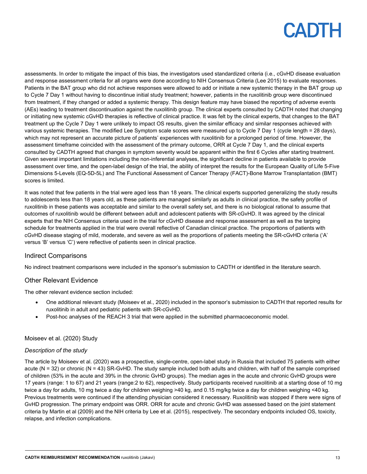assessments. In order to mitigate the impact of this bias, the investigators used standardized criteria (i.e., cGvHD disease evaluation and response assessment criteria for all organs were done according to NIH Consensus Criteria (Lee 2015) to evaluate responses. Patients in the BAT group who did not achieve responses were allowed to add or initiate a new systemic therapy in the BAT group up to Cycle 7 Day 1 without having to discontinue initial study treatment; however, patients in the ruxolitinib group were discontinued from treatment, if they changed or added a systemic therapy. This design feature may have biased the reporting of adverse events (AEs) leading to treatment discontinuation against the ruxolitinib group. The clinical experts consulted by CADTH noted that changing or initiating new systemic cGvHD therapies is reflective of clinical practice. It was felt by the clinical experts, that changes to the BAT treatment up the Cycle 7 Day 1 were unlikely to impact OS results, given the similar efficacy and similar responses achieved with various systemic therapies. The modified Lee Symptom scale scores were measured up to Cycle 7 Day 1 (cycle length = 28 days), which may not represent an accurate picture of patients' experiences with ruxolitinib for a prolonged period of time. However, the assessment timeframe coincided with the assessment of the primary outcome, ORR at Cycle 7 Day 1, and the clinical experts consulted by CADTH agreed that changes in symptom severity would be apparent within the first 6 Cycles after starting treatment. Given several important limitations including the non-inferential analyses, the significant decline in patients available to provide assessment over time, and the open-label design of the trial, the ability of interpret the results for the European Quality of Life 5-Five Dimensions 5-Levels (EQ-5D-5L) and The Functional Assessment of Cancer Therapy (FACT)-Bone Marrow Transplantation (BMT) scores is limited.

It was noted that few patients in the trial were aged less than 18 years. The clinical experts supported generalizing the study results to adolescents less than 18 years old, as these patients are managed similarly as adults in clinical practice, the safety profile of ruxolitinib in these patients was acceptable and similar to the overall safety set, and there is no biological rational to assume that outcomes of ruxolitinib would be different between adult and adolescent patients with SR-cGvHD. It was agreed by the clinical experts that the NIH Consensus criteria used in the trial for cGvHD disease and response assessment as well as the tarping schedule for treatments applied in the trial were overall reflective of Canadian clinical practice. The proportions of patients with cGvHD disease staging of mild, moderate, and severe as well as the proportions of patients meeting the SR-cGvHD criteria ('A' versus 'B' versus 'C') were reflective of patients seen in clinical practice.

#### Indirect Comparisons

No indirect treatment comparisons were included in the sponsor's submission to CADTH or identified in the literature search.

#### Other Relevant Evidence

The other relevant evidence section included:

- One additional relevant study (Moiseev et al., 2020) included in the sponsor's submission to CADTH that reported results for ruxolitinib in adult and pediatric patients with SR-cGvHD.
- Post-hoc analyses of the REACH 3 trial that were applied in the submitted pharmacoeconomic model.

#### Moiseev et al. (2020) Study

#### *Description of the study*

The article by Moiseev et al. (2020) was a prospective, single-centre, open-label study in Russia that included 75 patients with either acute (N = 32) or chronic (N = 43) SR-GvHD. The study sample included both adults and children, with half of the sample comprised of children (53% in the acute and 39% in the chronic GvHD groups). The median ages in the acute and chronic GvHD groups were 17 years (range: 1 to 67) and 21 years (range:2 to 62), respectively. Study participants received ruxolitinib at a starting dose of 10 mg twice a day for adults, 10 mg twice a day for children weighing >40 kg, and 0.15 mg/kg twice a day for children weighing <40 kg. Previous treatments were continued if the attending physician considered it necessary. Ruxolitinib was stopped if there were signs of GvHD progression. The primary endpoint was ORR. ORR for acute and chronic GvHD was assessed based on the joint statement criteria by Martin et al (2009) and the NIH criteria by Lee et al. (2015), respectively. The secondary endpoints included OS, toxicity, relapse, and infection complications.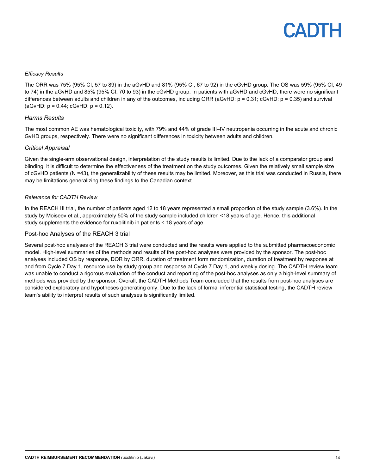#### *Efficacy Results*

The ORR was 75% (95% CI, 57 to 89) in the aGvHD and 81% (95% CI, 67 to 92) in the cGvHD group. The OS was 59% (95% CI, 49 to 74) in the aGvHD and 85% (95% CI, 70 to 93) in the cGvHD group. In patients with aGvHD and cGvHD, there were no significant differences between adults and children in any of the outcomes, including ORR (aGvHD: p = 0.31; cGvHD: p = 0.35) and survival (aGvHD: p = 0.44; cGvHD: p = 0.12).

#### *Harms Results*

The most common AE was hematological toxicity, with 79% and 44% of grade III–IV neutropenia occurring in the acute and chronic GvHD groups, respectively. There were no significant differences in toxicity between adults and children.

#### *Critical Appraisal*

Given the single-arm observational design, interpretation of the study results is limited. Due to the lack of a comparator group and blinding, it is difficult to determine the effectiveness of the treatment on the study outcomes. Given the relatively small sample size of cGvHD patients (N =43), the generalizability of these results may be limited. Moreover, as this trial was conducted in Russia, there may be limitations generalizing these findings to the Canadian context.

#### *Relevance for CADTH Review*

In the REACH III trial, the number of patients aged 12 to 18 years represented a small proportion of the study sample (3.6%). In the study by Moiseev et al., approximately 50% of the study sample included children <18 years of age. Hence, this additional study supplements the evidence for ruxolitinib in patients < 18 years of age.

#### Post-hoc Analyses of the REACH 3 trial

Several post-hoc analyses of the REACH 3 trial were conducted and the results were applied to the submitted pharmacoeconomic model. High-level summaries of the methods and results of the post-hoc analyses were provided by the sponsor. The post-hoc analyses included OS by response, DOR by ORR, duration of treatment form randomization, duration of treatment by response at and from Cycle 7 Day 1, resource use by study group and response at Cycle 7 Day 1, and weekly dosing. The CADTH review team was unable to conduct a rigorous evaluation of the conduct and reporting of the post-hoc analyses as only a high-level summary of methods was provided by the sponsor. Overall, the CADTH Methods Team concluded that the results from post-hoc analyses are considered exploratory and hypotheses generating only. Due to the lack of formal inferential statistical testing, the CADTH review team's ability to interpret results of such analyses is significantly limited.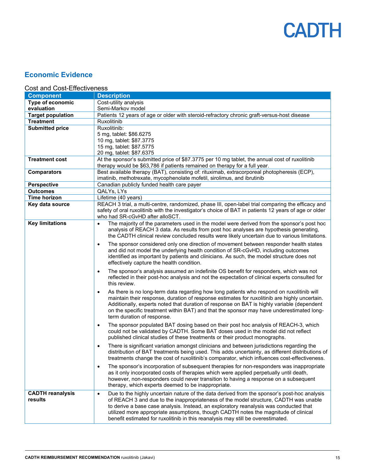

### **Economic Evidence**

### Cost and Cost-Effectiveness

| <b>Component</b>                   | <b>Description</b>                                                                                                                                                                                                                                                                                                                                                                                                                                                   |
|------------------------------------|----------------------------------------------------------------------------------------------------------------------------------------------------------------------------------------------------------------------------------------------------------------------------------------------------------------------------------------------------------------------------------------------------------------------------------------------------------------------|
| Type of economic                   | Cost-utility analysis                                                                                                                                                                                                                                                                                                                                                                                                                                                |
| evaluation                         | Semi-Markov model                                                                                                                                                                                                                                                                                                                                                                                                                                                    |
| <b>Target population</b>           | Patients 12 years of age or older with steroid-refractory chronic graft-versus-host disease                                                                                                                                                                                                                                                                                                                                                                          |
| <b>Treatment</b>                   | Ruxolitinib                                                                                                                                                                                                                                                                                                                                                                                                                                                          |
| <b>Submitted price</b>             | Ruxolitinib:                                                                                                                                                                                                                                                                                                                                                                                                                                                         |
|                                    | 5 mg, tablet: \$86.6275                                                                                                                                                                                                                                                                                                                                                                                                                                              |
|                                    | 10 mg, tablet: \$87.3775                                                                                                                                                                                                                                                                                                                                                                                                                                             |
|                                    | 15 mg, tablet: \$87.5775                                                                                                                                                                                                                                                                                                                                                                                                                                             |
|                                    | 20 mg, tablet: \$87.6375                                                                                                                                                                                                                                                                                                                                                                                                                                             |
| <b>Treatment cost</b>              | At the sponsor's submitted price of \$87.3775 per 10 mg tablet, the annual cost of ruxolitinib                                                                                                                                                                                                                                                                                                                                                                       |
|                                    | therapy would be \$63,786 if patients remained on therapy for a full year.                                                                                                                                                                                                                                                                                                                                                                                           |
| <b>Comparators</b>                 | Best available therapy (BAT), consisting of: rituximab, extracorporeal photopheresis (ECP),                                                                                                                                                                                                                                                                                                                                                                          |
|                                    | imatinib, methotrexate, mycophenolate mofetil, sirolimus, and ibrutinib                                                                                                                                                                                                                                                                                                                                                                                              |
| <b>Perspective</b>                 | Canadian publicly funded health care payer                                                                                                                                                                                                                                                                                                                                                                                                                           |
| <b>Outcomes</b>                    | QALYs, LYs                                                                                                                                                                                                                                                                                                                                                                                                                                                           |
| Time horizon                       | Lifetime (40 years)                                                                                                                                                                                                                                                                                                                                                                                                                                                  |
| Key data source                    | REACH 3 trial, a multi-centre, randomized, phase III, open-label trial comparing the efficacy and<br>safety of oral ruxolitinib with the investigator's choice of BAT in patients 12 years of age or older<br>who had SR-cGvHD after alloSCT.                                                                                                                                                                                                                        |
| <b>Key limitations</b>             | The majority of the parameters used in the model were derived from the sponsor's post hoc<br>$\bullet$<br>analysis of REACH 3 data. As results from post hoc analyses are hypothesis generating,<br>the CADTH clinical review concluded results were likely uncertain due to various limitations.                                                                                                                                                                    |
|                                    | The sponsor considered only one direction of movement between responder health states<br>$\bullet$<br>and did not model the underlying health condition of SR-cGvHD, including outcomes<br>identified as important by patients and clinicians. As such, the model structure does not<br>effectively capture the health condition.                                                                                                                                    |
|                                    | The sponsor's analysis assumed an indefinite OS benefit for responders, which was not<br>$\bullet$<br>reflected in their post-hoc analysis and not the expectation of clinical experts consulted for<br>this review.                                                                                                                                                                                                                                                 |
|                                    | As there is no long-term data regarding how long patients who respond on ruxolitinib will<br>$\bullet$<br>maintain their response, duration of response estimates for ruxolitinib are highly uncertain.<br>Additionally, experts noted that duration of response on BAT is highly variable (dependent<br>on the specific treatment within BAT) and that the sponsor may have underestimated long-<br>term duration of response.                                      |
|                                    | The sponsor populated BAT dosing based on their post hoc analysis of REACH-3, which<br>$\bullet$<br>could not be validated by CADTH. Some BAT doses used in the model did not reflect<br>published clinical studies of these treatments or their product monographs.                                                                                                                                                                                                 |
|                                    | There is significant variation amongst clinicians and between jurisdictions regarding the<br>$\bullet$<br>distribution of BAT treatments being used. This adds uncertainty, as different distributions of<br>treatments change the cost of ruxolitinib's comparator, which influences cost-effectiveness.                                                                                                                                                            |
|                                    | The sponsor's incorporation of subsequent therapies for non-responders was inappropriate<br>$\bullet$<br>as it only incorporated costs of therapies which were applied perpetually until death,<br>however, non-responders could never transition to having a response on a subsequent<br>therapy, which experts deemed to be inappropriate.                                                                                                                         |
| <b>CADTH reanalysis</b><br>results | Due to the highly uncertain nature of the data derived from the sponsor's post-hoc analysis<br>$\bullet$<br>of REACH 3 and due to the inappropriateness of the model structure, CADTH was unable<br>to derive a base case analysis. Instead, an exploratory reanalysis was conducted that<br>utilized more appropriate assumptions, though CADTH notes the magnitude of clinical<br>benefit estimated for ruxolitinib in this reanalysis may still be overestimated. |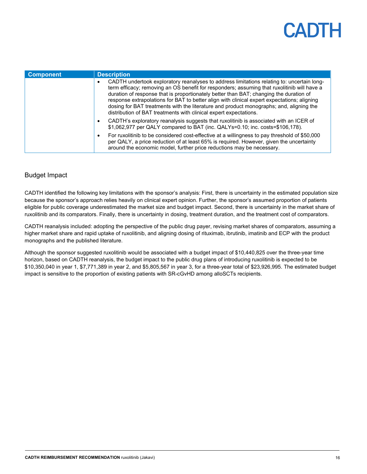| <b>Component</b> | <b>Description</b>                                                                                                                                                                                                                                                                                                                                                                                                                                                                                                                                 |
|------------------|----------------------------------------------------------------------------------------------------------------------------------------------------------------------------------------------------------------------------------------------------------------------------------------------------------------------------------------------------------------------------------------------------------------------------------------------------------------------------------------------------------------------------------------------------|
|                  | CADTH undertook exploratory reanalyses to address limitations relating to: uncertain long-<br>term efficacy; removing an OS benefit for responders; assuming that ruxolitinib will have a<br>duration of response that is proportionately better than BAT; changing the duration of<br>response extrapolations for BAT to better align with clinical expert expectations; aligning<br>dosing for BAT treatments with the literature and product monographs; and, aligning the<br>distribution of BAT treatments with clinical expert expectations. |
|                  | CADTH's exploratory reanalysis suggests that ruxolitinib is associated with an ICER of<br>\$1,062,977 per QALY compared to BAT (inc. QALYs=0.10; inc. costs=\$106,178).                                                                                                                                                                                                                                                                                                                                                                            |
|                  | For ruxolitinib to be considered cost-effective at a willingness to pay threshold of \$50,000<br>per QALY, a price reduction of at least 65% is required. However, given the uncertainty<br>around the economic model, further price reductions may be necessary.                                                                                                                                                                                                                                                                                  |

### Budget Impact

CADTH identified the following key limitations with the sponsor's analysis: First, there is uncertainty in the estimated population size because the sponsor's approach relies heavily on clinical expert opinion. Further, the sponsor's assumed proportion of patients eligible for public coverage underestimated the market size and budget impact. Second, there is uncertainty in the market share of ruxolitinib and its comparators. Finally, there is uncertainty in dosing, treatment duration, and the treatment cost of comparators.

CADTH reanalysis included: adopting the perspective of the public drug payer, revising market shares of comparators, assuming a higher market share and rapid uptake of ruxolitinib, and aligning dosing of rituximab, ibrutinib, imatinib and ECP with the product monographs and the published literature.

Although the sponsor suggested ruxolitinib would be associated with a budget impact of \$10,440,825 over the three-year time horizon, based on CADTH reanalysis, the budget impact to the public drug plans of introducing ruxolitinib is expected to be \$10,350,040 in year 1, \$7,771,389 in year 2, and \$5,805,567 in year 3, for a three-year total of \$23,926,995. The estimated budget impact is sensitive to the proportion of existing patients with SR-cGvHD among alloSCTs recipients.